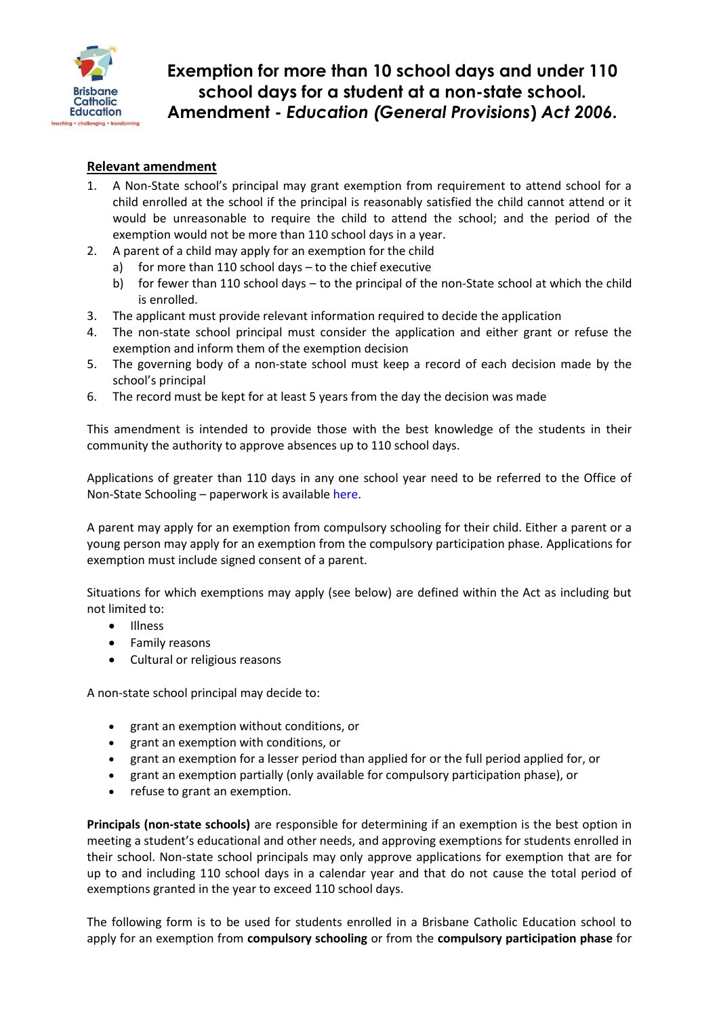

## **Exemption for more than 10 school days and under 110 school days for a student at a non-state school. Amendment -** *Education (General Provisions***)** *Act 2006***.**

## **Relevant amendment**

- 1. A Non-State school's principal may grant exemption from requirement to attend school for a child enrolled at the school if the principal is reasonably satisfied the child cannot attend or it would be unreasonable to require the child to attend the school; and the period of the exemption would not be more than 110 school days in a year.
- 2. A parent of a child may apply for an exemption for the child
	- for more than 110 school days  $-$  to the chief executive
		- b) for fewer than 110 school days to the principal of the non-State school at which the child is enrolled.
- 3. The applicant must provide relevant information required to decide the application
- 4. The non-state school principal must consider the application and either grant or refuse the exemption and inform them of the exemption decision
- 5. The governing body of a non-state school must keep a record of each decision made by the school's principal
- 6. The record must be kept for at least 5 years from the day the decision was made

This amendment is intended to provide those with the best knowledge of the students in their community the authority to approve absences up to 110 school days.

Applications of greater than 110 days in any one school year need to be referred to the Office of Non-State Schooling – paperwork is available [here.](https://kweb.bne.catholic.edu.au/LandT/LearningTeaching/Welbeing/Documents/app_non-state-4.docx)

A parent may apply for an exemption from compulsory schooling for their child. Either a parent or a young person may apply for an exemption from the compulsory participation phase. Applications for exemption must include signed consent of a parent.

Situations for which exemptions may apply (see below) are defined within the Act as including but not limited to:

- Illness
- Family reasons
- Cultural or religious reasons

A non-state school principal may decide to:

- grant an exemption without conditions, or
- grant an exemption with conditions, or
- grant an exemption for a lesser period than applied for or the full period applied for, or
- grant an exemption partially (only available for compulsory participation phase), or
- refuse to grant an exemption.

**Principals (non-state schools)** are responsible for determining if an exemption is the best option in meeting a student's educational and other needs, and approving exemptions for students enrolled in their school. Non-state school principals may only approve applications for exemption that are for up to and including 110 school days in a calendar year and that do not cause the total period of exemptions granted in the year to exceed 110 school days.

The following form is to be used for students enrolled in a Brisbane Catholic Education school to apply for an exemption from **compulsory schooling** or from the **compulsory participation phase** for